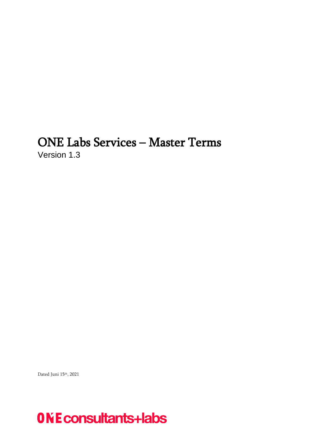# <span id="page-0-0"></span>ONE Labs Services – Master Terms Version 1.3

Dated Juni 15th , 2021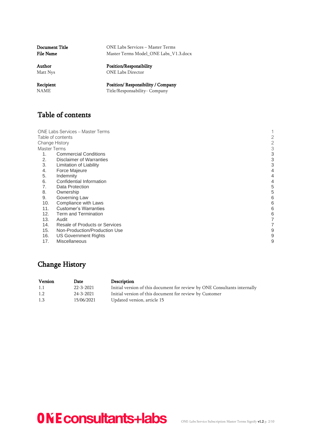| <b>Document Title</b> | ONE Labs Services – Master Terms      |
|-----------------------|---------------------------------------|
| <b>File Name</b>      | Master Terms Model ONE Labs V1.3.docx |
| Author                | Position/Responsibility               |
| Matt Nys              | <b>ONE Labs Director</b>              |
| Recipient             | Position/Responsibility / Company     |
| <b>NAME</b>           | Title/Responsability- Company         |

# <span id="page-1-0"></span>Table of contents

[ONE Labs Services](#page-0-0) – Master Terms 1 [Table of contents](#page-1-0)<br>
2<br>
Change History<br>
Master Terms<br>
3 [Change History](#page-1-1) [Master Terms](#page-2-0) 3<br>1. Commercial Conditions 3 1. [Commercial Conditions](#page-2-1) 3<br>2. Disclaimer of Warranties 3 2. [Disclaimer of Warranties](#page-2-2) 3 **1. [Limitation of Liability](#page-2-3)** 

- 4. [Force Majeure](#page-3-0) 4. And the set of the set of the set of the set of the set of the set of the set of the set of the set of the set of the set of the set of the set of the set of the set of the set of the set of the set of
- 
- 5. [Indemnity](#page-3-1) 4<br>6. Confidential Information 4 6. [Confidential Information](#page-3-2) 4
- 7. [Data Protection](#page-4-0) 6. September 2014 19:30 19:30 19:30 19:30 19:30 19:30 19:30 19:30 19:30 19:30 19:30 19:30 1<br>19:30 19:30 19:30 19:30 19:30 19:30 19:30 19:30 19:30 19:30 19:30 19:30 19:30 19:30 19:30 19:30 19:30 19:30 19
- 
- Express of the control of the control of the control of the control of the control of the control of the control of the control of the control of the control of the control of the control of the control of the control of t 9. [Governing Law](#page-5-0)
- 10. [Compliance with Laws](#page-5-1) 6
- 11. [Customer's Warranties](#page-5-2) 6 (1998) 12. The main state of the state of the state of the state of the state of the state of the state of the state of the state of the state of the state of the state of the state of the state
- 12. [Term and Termination](#page-5-3)
- 13. [Audit](#page-6-0) 7
- 14. [Resale of Products or Services](#page-6-1) 7<br>15. Non-Production/Production Use 7
- [Non-Production/Production Use](#page-8-0)
- 16. [US Government Rights](#page-8-1) 9 17. [Miscellaneous](#page-8-2) 9
- 

# <span id="page-1-1"></span>Change History

| Version | <b>Date</b> | Description                                                               |
|---------|-------------|---------------------------------------------------------------------------|
| 1.1     | 22-3-2021   | Initial version of this document for review by ONE Consultants internally |
| 1.2     | 24-3-2021   | Initial version of this document for review by Customer                   |
| 1.3     | 15/06/2021  | Updated version, article 15                                               |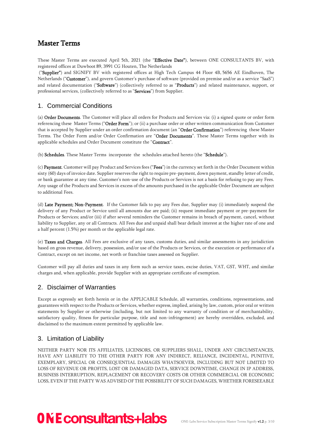# <span id="page-2-0"></span>Master Terms

These Master Terms are executed April 5th, 2021 (the "Effective Date"), between ONE CONSULTANTS BV, with registered offices at Duwboot 89, 3991 CG Houten, The Netherlands

("Supplier") and SIGNIFY BV with registered offices at High Tech Campus 44 Floor 4B, 5656 AE Eindhoven, The Netherlands ("Customer"), and govern Customer's purchase of software (provided on premise and/or as a service "SaaS") and related documentation ("Software") (collectively referred to as "Products") and related maintenance, support, or professional services, (collectively referred to as "Services") from Supplier.

### <span id="page-2-1"></span>1. Commercial Conditions

(a) Order Documents. The Customer will place all orders for Products and Services via: (i) a signed quote or order form referencing these Master Terms ("Order Form"); or (ii) a purchase order or other written communication from Customer that is accepted by Supplier under an order confirmation document (an "Order Confirmation") referencing these Master Terms. The Order Form and/or Order Confirmation are "Order Documents". These Master Terms together with its applicable schedules and Order Document constitute the "Contract".

(b) Schedules. These Master Terms incorporate the schedules attached hereto (the "Schedule").

(c) Payment. Customer will pay Product and Services fees ("Fees") in the currency set forth in the Order Document within sixty (60) days of invoice date. Supplier reserves the right to require pre-payment, down payment, standby letter of credit, or bank guarantee at any time. Customer's non-use of the Products or Services is not a basis for refusing to pay any Fees. Any usage of the Products and Services in excess of the amounts purchased in the applicable Order Document are subject to additional Fees.

(d) Late Payment; Non-Payment. If the Customer fails to pay any Fees due, Supplier may (i) immediately suspend the delivery of any Product or Service until all amounts due are paid; (ii) request immediate payment or pre-payment for Products or Services; and/or (iii) if after several reminders the Customer remains in breach of payment, cancel, without liability to Supplier, any or all Contracts. All Fees due and unpaid shall bear default interest at the higher rate of one and a half percent (1.5%) per month or the applicable legal rate.

(e) Taxes and Charges. All Fees are exclusive of any taxes, customs duties, and similar assessments in any jurisdiction based on gross revenue, delivery, possession, and/or use of the Products or Services, or the execution or performance of a Contract, except on net income, net worth or franchise taxes assessed on Supplier.

Customer will pay all duties and taxes in any form such as service taxes, excise duties, VAT, GST, WHT, and similar charges and, when applicable, provide Supplier with an appropriate certificate of exemption.

### <span id="page-2-2"></span>2. Disclaimer of Warranties

Except as expressly set forth herein or in the APPLICABLE Schedule, all warranties, conditions, representations, and guarantees with respect to the Products or Services, whether express, implied, arising by law, custom, prior oral or written statements by Supplier or otherwise (including, but not limited to any warranty of condition or of merchantability, satisfactory quality, fitness for particular purpose, title and non-infringement) are hereby overridden, excluded, and disclaimed to the maximum extent permitted by applicable law.

### <span id="page-2-3"></span>3. Limitation of Liability

NEITHER PARTY NOR ITS AFFILIATES, LICENSORS, OR SUPPLIERS SHALL, UNDER ANY CIRCUMSTANCES, HAVE ANY LIABILITY TO THE OTHER PARTY FOR ANY INDIRECT, RELIANCE, INCIDENTAL, PUNITIVE, EXEMPLARY, SPECIAL OR CONSEQUENTIAL DAMAGES WHATSOEVER, INCLUDING BUT NOT LIMITED TO LOSS OF REVENUE OR PROFITS, LOST OR DAMAGED DATA, SERVICE DOWNTIME, CHANGE IN IP ADDRESS, BUSINESS INTERRUPTION, REPLACEMENT OR RECOVERY COSTS OR OTHER COMMERCIAL OR ECONOMIC LOSS, EVEN IF THE PARTY WAS ADVISED OF THE POSSIBILITY OF SUCH DAMAGES, WHETHER FORESEEABLE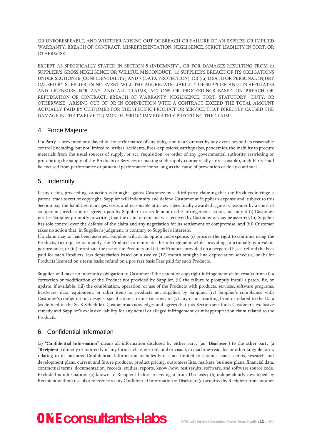OR UNFORESEEABLE, AND WHETHER ARISING OUT OF BREACH OR FAILURE OF AN EXPRESS OR IMPLIED WARRANTY, BREACH OF CONTRACT, MISREPRESENTATION, NEGLIGENCE, STRICT LIABILITY IN TORT, OR OTHERWISE.

EXCEPT AS SPECIFICALLY STATED IN SECTION 5 (INDEMNITY), OR FOR DAMAGES RESULTING FROM (i) SUPPLIER'S GROSS NEGLIGENCE OR WILLFUL MISCONDUCT, (ii) SUPPLIER'S BREACH OF ITS OBLIGATIONS UNDER SECTIONS 6 (CONFIDENTIALITY) AND 7 (DATA PROTECTION), OR (iii) DEATH OR PERSONAL INJURY CAUSED BY SUPPLIER, IN NO EVENT WILL THE AGGREGATE LIABILITY OF SUPPLIER AND ITS AFFILIATES AND LICENSORS FOR ANY AND ALL CLAIMS, ACTIONS OR PROCEEDINGS BASED ON BREACH OR REPUDIATION OF CONTRACT, BREACH OF WARRANTY, NEGLIGENCE, TORT, STATUTORY DUTY, OR OTHERWISE ARISING OUT OF OR IN CONNECTION WITH A CONTRACT EXCEED THE TOTAL AMOUNT ACTUALLY PAID BY CUSTOMER FOR THE SPECIFIC PRODUCT OR SERVICE THAT DIRECTLY CAUSED THE DAMAGE IN THE TWELVE (12) MONTH PERIOD IMMEDIATELY PRECEDING THE CLAIM.

### <span id="page-3-0"></span>4. Force Majeure

If a Party is prevented or delayed in the performance of any obligation in a Contract by any event beyond its reasonable control (including, but not limited to, strikes, accidents, fires, explosions, earthquakes, pandemics, the inability to procure materials from the usual sources of supply, or act, requisition, or order of any governmental authority restricting or prohibiting the supply of the Products or Services or making such supply commercially unreasonable), such Party shall be excused from performance or punctual performance for so long as the cause of prevention or delay continues.

### <span id="page-3-1"></span>5. Indemnity

If any claim, proceeding, or action is brought against Customer by a third party claiming that the Products infringe a patent, trade secret or copyright, Supplier will indemnify and defend Customer at Supplier's expense and, subject to this Section pay the liabilities, damages, costs, and reasonable attorney's fees finally awarded against Customer by a court of competent jurisdiction or agreed upon by Supplier in a settlement in the infringement action, but only if (i) Customer notifies Supplier promptly in writing that the claim or demand was received by Customer or may be asserted, (ii) Supplier has sole control over the defense of the claim and any negotiation for its settlement or compromise, and (iii) Customer takes no action that, in Supplier's judgment, is contrary to Supplier's interests.

If a claim may or has been asserted, Supplier will, at its option and expense, (i) procure the right to continue using the Products, (ii) replace or modify the Products to eliminate the infringement while providing functionally equivalent performance, or (iii) terminate the use of the Products and (a) for Products provided on a perpetual basis: refund the Fees paid for such Products, less depreciation based on a twelve (12) month straight-line depreciation schedule, or (b) for Products licensed on a term basis: refund on a pro rata basis Fees paid for such Products.

Supplier will have no indemnity obligation to Customer if the patent or copyright infringement claim results from (i) a correction or modification of the Product not provided by Supplier, (ii) the failure to promptly install a patch, fix, or update, if available, (iii) the combination, operation, or use of the Products with products, services, software programs, hardware, data, equipment, or other items or products not supplied by Supplier; (iv) Supplier's compliance with Customer's configuration, designs, specifications, or instructions; or (v) any claim resulting from or related to the Data (as defined in the SaaS Schedule). Customer acknowledges and agrees that this Section sets forth Customer's exclusive remedy and Supplier's exclusive liability for any actual or alleged infringement or misappropriation claim related to the Products.

# <span id="page-3-2"></span>6. Confidential Information

(a) "Confidential Information" means all information disclosed by either party (as "Discloser") to the other party (a "Recipient") directly or indirectly in any form such as written, oral or visual, in machine-readable or other tangible form, relating to its business. Confidential Information includes but is not limited to patents, trade secrets, research and development plans, current and future products, product pricing, customers lists, markets, business plans, financial data, contractual terms, documentation, records, studies, reports, know-how, test results, software, and software source code. Excluded is information: (a) known to Recipient before receiving it from Discloser; (b) independently developed by Recipient without use of or reference to any Confidential Information of Discloser; (c) acquired by Recipient from another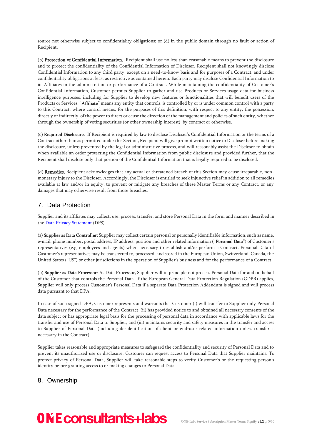source not otherwise subject to confidentiality obligations; or (d) in the public domain through no fault or action of Recipient.

(b) Protection of Confidential Information. Recipient shall use no less than reasonable means to prevent the disclosure and to protect the confidentiality of the Confidential Information of Discloser. Recipient shall not knowingly disclose Confidential Information to any third party, except on a need-to-know basis and for purposes of a Contract, and under confidentiality obligations at least as restrictive as contained herein. Each party may disclose Confidential Information to its Affiliates in the administration or performance of a Contract. While maintaining the confidentiality of Customer's Confidential Information, Customer permits Supplier to gather and use Products or Services usage data for business intelligence purposes, including for Supplier to develop new features or functionalities that will benefit users of the Products or Services. "Affiliate" means any entity that controls, is controlled by or is under common control with a party to this Contract, where control means, for the purposes of this definition, with respect to any entity, the possession, directly or indirectly, of the power to direct or cause the direction of the management and policies of such entity, whether through the ownership of voting securities (or other ownership interest), by contract or otherwise.

(c) Required Disclosure. If Recipient is required by law to disclose Discloser's Confidential Information or the terms of a Contract other than as permitted under this Section, Recipient will give prompt written notice to Discloser before making the disclosure, unless prevented by the legal or administrative process, and will reasonably assist the Discloser to obtain when available an order protecting the Confidential Information from public disclosure and provided further, that the Recipient shall disclose only that portion of the Confidential Information that is legally required to be disclosed.

(d) Remedies. Recipient acknowledges that any actual or threatened breach of this Section may cause irreparable, nonmonetary injury to the Discloser. Accordingly, the Discloser is entitled to seek injunctive relief in addition to all remedies available at law and/or in equity, to prevent or mitigate any breaches of these Master Terms or any Contract, or any damages that may otherwise result from those breaches.

### <span id="page-4-0"></span>7. Data Protection

Supplier and its affiliates may collect, use, process, transfer, and store Personal Data in the form and manner described in the **Data Privacy Statement**.(DPS).

(a) Supplier as Data Controller: Supplier may collect certain personal or personally identifiable information, such as name, e-mail, phone number, postal address, IP address, position and other related information ("Personal Data") of Customer's representatives (e.g. employees and agents) when necessary to establish and/or perform a Contract. Personal Data of Customer's representatives may be transferred to, processed, and stored in the European Union, Switzerland, Canada, the United States ("US") or other jurisdictions in the operation of Supplier's business and for the performance of a Contract.

(b) Supplier as Data Processor: As Data Processor, Supplier will in principle not process Personal Data for and on behalf of the Customer that controls the Personal Data. If the European General Data Protection Regulation (GDPR) applies, Supplier will only process Customer's Personal Data if a separate Data Protection Addendum is signed and will process data pursuant to that DPA.

In case of such signed DPA, Customer represents and warrants that Customer (i) will transfer to Supplier only Personal Data necessary for the performance of the Contract, (ii) has provided notice to and obtained all necessary consents of the data subject or has appropriate legal basis for the processing of personal data in accordance with applicable laws for the transfer and use of Personal Data to Supplier; and (iii) maintains security and safety measures in the transfer and access to Supplier of Personal Data (including de-identification of client or end-user related information unless transfer is necessary in the Contract).

Supplier takes reasonable and appropriate measures to safeguard the confidentiality and security of Personal Data and to prevent its unauthorized use or disclosure. Customer can request access to Personal Data that Supplier maintains. To protect privacy of Personal Data, Supplier will take reasonable steps to verify Customer's or the requesting person's identity before granting access to or making changes to Personal Data.

# <span id="page-4-1"></span>8. Ownership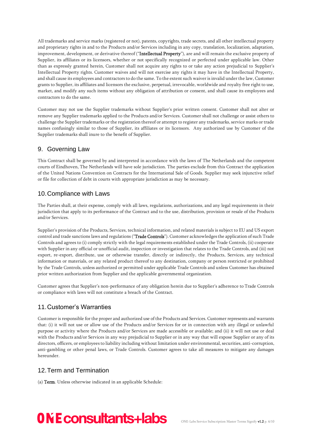All trademarks and service marks (registered or not), patents, copyrights, trade secrets, and all other intellectual property and proprietary rights in and to the Products and/or Services including in any copy, translation, localization, adaptation, improvement, development, or derivative thereof ("Intellectual Property"), are and will remain the exclusive property of Supplier, its affiliates or its licensors, whether or not specifically recognized or perfected under applicable law. Other than as expressly granted herein, Customer shall not acquire any rights to or take any action prejudicial to Supplier's Intellectual Property rights. Customer waives and will not exercise any rights it may have in the Intellectual Property, and shall cause its employees and contractors to do the same. To the extent such waiver is invalid under the law, Customer grants to Supplier, its affiliates and licensors the exclusive, perpetual, irrevocable, worldwide and royalty free right to use, market, and modify any such items without any obligation of attribution or consent, and shall cause its employees and contractors to do the same.

Customer may not use the Supplier trademarks without Supplier's prior written consent. Customer shall not alter or remove any Supplier trademarks applied to the Products and/or Services. Customer shall not challenge or assist others to challenge the Supplier trademarks or the registration thereof or attempt to register any trademarks, service marks or trade names confusingly similar to those of Supplier, its affiliates or its licensors. Any authorized use by Customer of the Supplier trademarks shall inure to the benefit of Supplier.

# <span id="page-5-0"></span>9. Governing Law

This Contract shall be governed by and interpreted in accordance with the laws of The Netherlands and the competent courts of Eindhoven, The Netherlands will have sole jurisdiction. The parties exclude from this Contract the application of the United Nations Convention on Contracts for the International Sale of Goods. Supplier may seek injunctive relief or file for collection of debt in courts with appropriate jurisdiction as may be necessary.

# <span id="page-5-1"></span>10.Compliance with Laws

The Parties shall, at their expense, comply with all laws, regulations, authorizations, and any legal requirements in their jurisdiction that apply to its performance of the Contract and to the use, distribution, provision or resale of the Products and/or Services.

Supplier's provision of the Products, Services, technical information, and related materials is subject to EU and US export control and trade sanctions laws and regulations ("Trade Controls"). Customer acknowledges the application of such Trade Controls and agrees to (i) comply strictly with the legal requirements established under the Trade Controls, (ii) cooperate with Supplier in any official or unofficial audit, inspection or investigation that relates to the Trade Controls, and (iii) not export, re-export, distribute, use or otherwise transfer, directly or indirectly, the Products, Services, any technical information or materials, or any related product thereof to any destination, company or person restricted or prohibited by the Trade Controls, unless authorized or permitted under applicable Trade Controls and unless Customer has obtained prior written authorization from Supplier and the applicable governmental organization.

Customer agrees that Supplier's non-performance of any obligation herein due to Supplier's adherence to Trade Controls or compliance with laws will not constitute a breach of the Contract.

# <span id="page-5-2"></span>11.Customer's Warranties

Customer is responsible for the proper and authorized use of the Products and Services. Customer represents and warrants that: (i) it will not use or allow use of the Products and/or Services for or in connection with any illegal or unlawful purpose or activity where the Products and/or Services are made accessible or available; and (ii) it will not use or deal with the Products and/or Services in any way prejudicial to Supplier or in any way that will expose Supplier or any of its directors, officers, or employees to liability including without limitation under environmental, securities, anti-corruption, anti-gambling or other penal laws, or Trade Controls. Customer agrees to take all measures to mitigate any damages hereunder.

# <span id="page-5-3"></span>12.Term and Termination

(a) Term. Unless otherwise indicated in an applicable Schedule: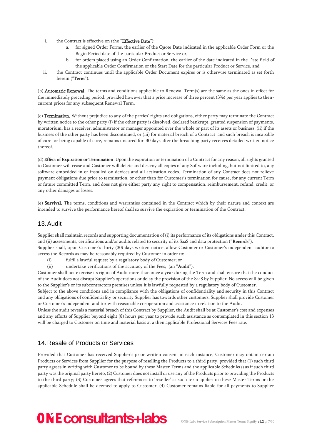- i. the Contract is effective on (the "Effective Date"):
	- a. for signed Order Forms, the earlier of the Quote Date indicated in the applicable Order Form or the Begin Period date of the particular Product or Service or,
	- b. for orders placed using an Order Confirmation, the earlier of the date indicated in the Date field of the applicable Order Confirmation or the Start Date for the particular Product or Service, and
- ii. the Contract continues until the applicable Order Document expires or is otherwise terminated as set forth herein ("Term").

(b) Automatic Renewal. The terms and conditions applicable to Renewal Term(s) are the same as the ones in effect for the immediately preceding period, provided however that a price increase of three percent (3%) per year applies to thencurrent prices for any subsequent Renewal Term.

(c) Termination. Without prejudice to any of the parties' rights and obligations, either party may terminate the Contract by written notice to the other party (i) if the other party is dissolved, declared bankrupt, granted suspension of payments, moratorium, has a receiver, administrator or manager appointed over the whole or part of its assets or business, (ii) if the business of the other party has been discontinued, or (iii) for material breach of a Contract and such breach is incapable of cure; or being capable of cure, remains uncured for 30 days after the breaching party receives detailed written notice thereof.

(d) Effect of Expiration or Termination. Upon the expiration or termination of a Contract for any reason, all rights granted to Customer will cease and Customer will delete and destroy all copies of any Software including, but not limited to, any software embedded in or installed on devices and all activation codes. Termination of any Contract does not relieve payment obligations due prior to termination, or other than for Customer's termination for cause, for any current Term or future committed Term, and does not give either party any right to compensation, reimbursement, refund, credit, or any other damages or losses.

(e) Survival. The terms, conditions and warranties contained in the Contract which by their nature and context are intended to survive the performance hereof shall so survive the expiration or termination of the Contract.

### <span id="page-6-0"></span>13.Audit

Supplier shall maintain records and supporting documentation of (i) its performance of its obligations under this Contract, and (ii) assessments, certifications and/or audits related to security of its SaaS and data protection ("Records"). Supplier shall, upon Customer's thirty (30) days written notice, allow Customer or Customer's independent auditor to access the Records as may be reasonably required by Customer in order to:

- (i) fulfil a lawful request by a regulatory body of Customer; or
- (ii) undertake verifications of the accuracy of the Fees; (an "Audit").

Customer shall not exercise its rights of Audit more than once a year during the Term and shall ensure that the conduct of the Audit does not disrupt Supplier's operations or delay the provision of the SaaS by Supplier. No access will be given to the Supplier's or its subcontractors premises unless it is lawfully requested by a regulatory body of Customer.

Subject to the above conditions and in compliance with the obligations of confidentiality and security in this Contract and any obligations of confidentiality or security Supplier has towards other customers, Supplier shall provide Customer or Customer's independent auditor with reasonable co-operation and assistance in relation to the Audit.

Unless the audit reveals a material breach of this Contract by Supplier, the Audit shall be at Customer's cost and expenses and any efforts of Supplier beyond eight (8) hours per year to provide such assistance as contemplated in this section 13 will be charged to Customer on time and material basis at a then applicable Professional Services Fees rate.

# <span id="page-6-1"></span>14.Resale of Products or Services

Provided that Customer has received Supplier's prior written consent in each instance, Customer may obtain certain Products or Services from Supplier for the purpose of reselling the Products to a third party, provided that (1) such third party agrees in writing with Customer to be bound by these Master Terms and the applicable Schedule(s) as if such third party was the original party hereto; (2) Customer does not install or use any of the Products prior to providing the Products to the third party; (3) Customer agrees that references to 'reseller' as such term applies in these Master Terms or the applicable Schedule shall be deemed to apply to Customer; (4) Customer remains liable for all payments to Supplier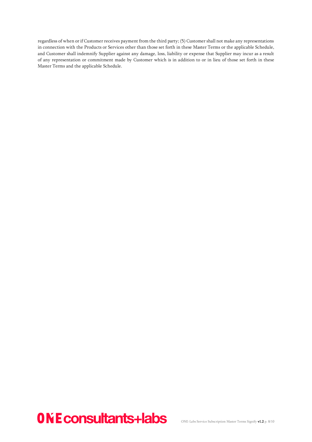regardless of when or if Customer receives payment from the third party; (5) Customer shall not make any representations in connection with the Products or Services other than those set forth in these Master Terms or the applicable Schedule, and Customer shall indemnify Supplier against any damage, loss, liability or expense that Supplier may incur as a result of any representation or commitment made by Customer which is in addition to or in lieu of those set forth in these Master Terms and the applicable Schedule.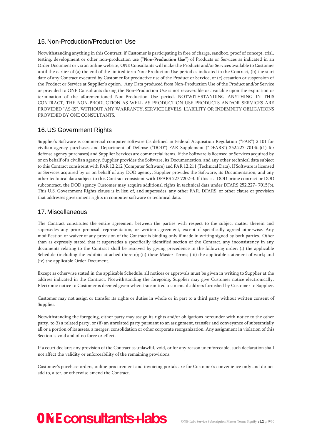### <span id="page-8-0"></span>15.Non-Production/Production Use

Notwithstanding anything in this Contract, if Customer is participating in free of charge, sandbox, proof of concept, trial, testing, development or other non-production use ("Non-Production Use") of Products or Services as indicated in an Order Document or via an online website, ONE Consultants will make the Products and/or Services available to Customer until the earlier of (a) the end of the limited term Non-Production Use period as indicated in the Contract, (b) the start date of any Contract executed by Customer for productive use of the Product or Service, or (c) cessation or suspension of the Product or Service at Supplier's option. Any Data produced from Non-Production Use of the Product and/or Service or provided to ONE Consultants during the Non-Production Use is not recoverable or available upon the expiration or termination of the aforementioned Non-Production Use period. NOTWITHSTANDING ANYTHING IN THIS CONTRACT, THE NON-PRODUCTION AS WELL AS PRODUCTION USE PRODUCTS AND/OR SERVICES ARE PROVIDED "AS-IS", WITHOUT ANY WARRANTY, SERVICE LEVELS, LIABILITY OR INDEMNITY OBLIGATIONS PROVIDED BY ONE CONSULTANTS.

### <span id="page-8-1"></span>16.US Government Rights

Supplier's Software is commercial computer software (as defined in Federal Acquisition Regulation ("FAR") 2.101 for civilian agency purchases and Department of Defense ("DOD") FAR Supplement ("DFARS") 252.227-7014(a)(1) for defense agency purchases) and Supplier Services are commercial items. If the Software is licensed or Services acquired by or on behalf of a civilian agency, Supplier provides the Software, its Documentation, and any other technical data subject to this Contract consistent with FAR 12.212 (Computer Software) and FAR 12.211 (Technical Data). If Software is licensed or Services acquired by or on behalf of any DOD agency, Supplier provides the Software, its Documentation, and any other technical data subject to this Contract consistent with DFARS 227.7202-3. If this is a DOD prime contract or DOD subcontract, the DOD agency Customer may acquire additional rights in technical data under DFARS 252.227- 7015(b). This U.S. Government Rights clause is in lieu of, and supersedes, any other FAR, DFARS, or other clause or provision that addresses government rights in computer software or technical data.

#### <span id="page-8-2"></span>17.Miscellaneous

The Contract constitutes the entire agreement between the parties with respect to the subject matter therein and supersedes any prior proposal, representation, or written agreement, except if specifically agreed otherwise. Any modification or waiver of any provision of the Contract is binding only if made in writing signed by both parties. Other than as expressly stated that it supersedes a specifically identified section of the Contract, any inconsistency in any documents relating to the Contract shall be resolved by giving precedence in the following order: (i) the applicable Schedule (including the exhibits attached thereto); (ii) these Master Terms; (iii) the applicable statement of work; and (iv) the applicable Order Document.

Except as otherwise stated in the applicable Schedule, all notices or approvals must be given in writing to Supplier at the address indicated in the Contract. Notwithstanding the foregoing, Supplier may give Customer notice electronically. Electronic notice to Customer is deemed given when transmitted to an email address furnished by Customer to Supplier.

Customer may not assign or transfer its rights or duties in whole or in part to a third party without written consent of Supplier.

Notwithstanding the foregoing, either party may assign its rights and/or obligations hereunder with notice to the other party, to (i) a related party, or (ii) an unrelated party pursuant to an assignment, transfer and conveyance of substantially all or a portion of its assets, a merger, consolidation or other corporate reorganization. Any assignment in violation of this Section is void and of no force or effect.

If a court declares any provision of the Contract as unlawful, void, or for any reason unenforceable, such declaration shall not affect the validity or enforceability of the remaining provisions.

Customer's purchase orders, online procurement and invoicing portals are for Customer's convenience only and do not add to, alter, or otherwise amend the Contract.